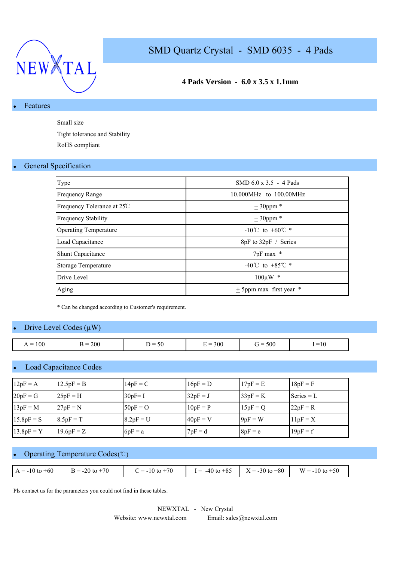

### **4 Pads Version - 6.0 x 3.5 x 1.1mm**

#### **Features**

Small size

Tight tolerance and Stability RoHS compliant

#### **General Specification**

| Type                         | SMD $6.0 \times 3.5 - 4$ Pads        |
|------------------------------|--------------------------------------|
| <b>Frequency Range</b>       | 10.000MHz to 100.00MHz               |
| Frequency Tolerance at 25C   | $\pm$ 30ppm $*$                      |
| <b>Frequency Stability</b>   | $\pm$ 30ppm $*$                      |
| <b>Operating Temperature</b> | $-10^{\circ}$ C to $+60^{\circ}$ C * |
| Load Capacitance             | 8pF to 32pF / Series                 |
| <b>Shunt Capacitance</b>     | 7pF max *                            |
| <b>Storage Temperature</b>   | -40°C to +85°C $*$                   |
| Drive Level                  | $100 \mu W$ *                        |
| Aging                        | + 5ppm max first year *              |

\* Can be changed according to Customer's requirement.

#### Drive Level Codes  $(\mu W)$

| $= 100$<br>$\sim$ $\sim$ | 200<br>- ⊀ = | $\sim$ $\sim$<br>$\overline{\phantom{a}}$<br>$\mathcal{L}$ | 300<br>$\sim$<br>- | 500<br>$\sim$ $\sim$<br>$\mathbf{r} =$<br>ີ | $\sim$<br>$=10$ |
|--------------------------|--------------|------------------------------------------------------------|--------------------|---------------------------------------------|-----------------|

#### Load Capacitance Codes

| $12pF = A$   | $12.5pF = B$ | $14pF = C$  | $16pF = D$ | $17pF = E$ | $18pF = F$   |
|--------------|--------------|-------------|------------|------------|--------------|
| $20pF = G$   | $25pF = H$   | $30pF = I$  | $32pF = J$ | $33pF = K$ | $Series = L$ |
| $13pF = M$   | $27pF = N$   | $50pF = O$  | $10pF = P$ | $15pF = Q$ | $22pF = R$   |
| $15.8pF = S$ | $8.5pF = T$  | $8.2pF = U$ | $40pF = V$ | $9pF = W$  | $11pF = X$   |
| $13.8pF = Y$ | $19.6pF = Z$ | $6pF = a$   | $7pF = d$  | $8pF = e$  | $19pF = f$   |

### • Operating Temperature Codes (℃)

| $A = -10$ to $+60$ | $B = -20$ to $+70$ | $y = -10$ to $+70$ | $I = -40$ to $+85$ | $X = -30$ to $+80$ | $W = -10$ to $+50$ |
|--------------------|--------------------|--------------------|--------------------|--------------------|--------------------|

Pls contact us for the parameters you could not find in these tables.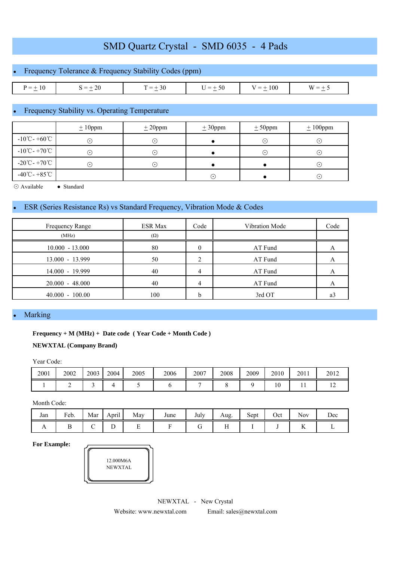### Frequency Tolerance & Frequency Stability Codes (ppm)

| .<br>and the contract of the contract of | $\sim$ | $\sim$ | _<br>$\sim$ | w |
|------------------------------------------|--------|--------|-------------|---|

#### Frequency Stability vs. Operating Temperature

|                                             | $± 10$ ppm  | ± 20 ppm | ± 30 ppm | ± 50 ppm               | $± 100$ ppm |
|---------------------------------------------|-------------|----------|----------|------------------------|-------------|
| $-10^{\circ}$ C - +60 $^{\circ}$ C          | ۰.          |          |          | $(\cdot)$              | ۰.          |
| $-10^{\circ}$ C - +70 $^{\circ}$ C          | $(\bullet)$ | . .      |          | $(\boldsymbol{\cdot})$ | $(\bullet)$ |
| $-20^{\circ}\text{C} - +70^{\circ}\text{C}$ | ( • ا       | . .      |          |                        | (∙`         |
| $-40^{\circ}$ C - +85 $^{\circ}$ C          |             |          | ٠.       |                        | ෬           |

⊙ Available ● Standard

#### ESR (Series Resistance Rs) vs Standard Frequency, Vibration Mode & Codes

| Frequency Range   | <b>ESR Max</b> | Code | <b>Vibration Mode</b> | Code |
|-------------------|----------------|------|-----------------------|------|
| (MHz)             | $(\Omega)$     |      |                       |      |
| $10.000 - 13.000$ | 80             |      | AT Fund               | A    |
| $13.000 - 13.999$ | 50             |      | AT Fund               |      |
| 14.000 - 19.999   | 40             | 4    | AT Fund               |      |
| $20.000 - 48.000$ | 40             | 4    | AT Fund               | А    |
| $40.000 - 100.00$ | 100            | h    | 3rd OT                | a3   |

#### **Marking**

#### **Frequency + M (MHz) + Date code ( Year Code + Month Code )**

#### **NEWXTAL (Company Brand)**

Year Code:

| 2001 | 2002 | 2003 | 2004 | 2005 | 2006 | 2007 | 2008 | 2009 | 2010            | 2011 | 2012           |
|------|------|------|------|------|------|------|------|------|-----------------|------|----------------|
|      |      |      |      |      |      |      |      |      | $\Omega$<br>1 U | . .  | $\overline{ }$ |

Month Code:

| Jan            | Feb. | Mar | <b>Contract Contract Contract Contract</b><br>April | May | June | July | Aug. | Sept | Oct | Nov       | Dec |
|----------------|------|-----|-----------------------------------------------------|-----|------|------|------|------|-----|-----------|-----|
| $\overline{ }$ | ໋    |     | ∸                                                   |     |      | ີ    |      |      |     | v v<br>17 |     |

**For Example:**



NEWXTAL - New Crystal Website: www.newxtal.com Email: sales@newxtal.com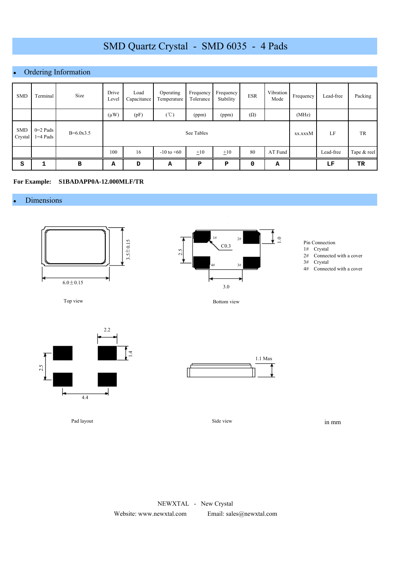## Ordering Information

| <b>SMD</b>            | Terminal                 | Size        | Drive<br>Level | Load<br>Capacitance | Operating<br>Temperature | Frequency<br>Tolerance | Frequency<br>Stability | <b>ESR</b> | Vibration<br>Mode | Frequency | Lead-free | Packing     |
|-----------------------|--------------------------|-------------|----------------|---------------------|--------------------------|------------------------|------------------------|------------|-------------------|-----------|-----------|-------------|
|                       |                          |             | $(\mu W)$      | (pF)                | $(\degree C)$            | (ppm)                  | (ppm)                  | $(\Omega)$ |                   | (MHz)     |           |             |
| <b>SMD</b><br>Crystal | $0=2$ Pads<br>$1=4$ Pads | $B=6.0x3.5$ |                |                     | See Tables               | xx.xxxM                | LF                     | TR         |                   |           |           |             |
|                       |                          |             | 100            | 16                  | $-10$ to $+60$           | $\pm 10$               | $\pm 10$               | 80         | AT Fund           |           | Lead-free | Tape & reel |
| S                     | 1                        | в           | A              | D                   | Α                        | P                      | P                      | 0          | А                 |           | LF        | TR          |

#### **For Example: S1BADAPP0A-12.000MLF/TR**

#### **Dimensions**



Top view



Pad layout



- 1# Crystal
- 2# Connected with a cover
- 3# Crystal
- 4# Connected with a cover

Bottom view



Side view

in mm